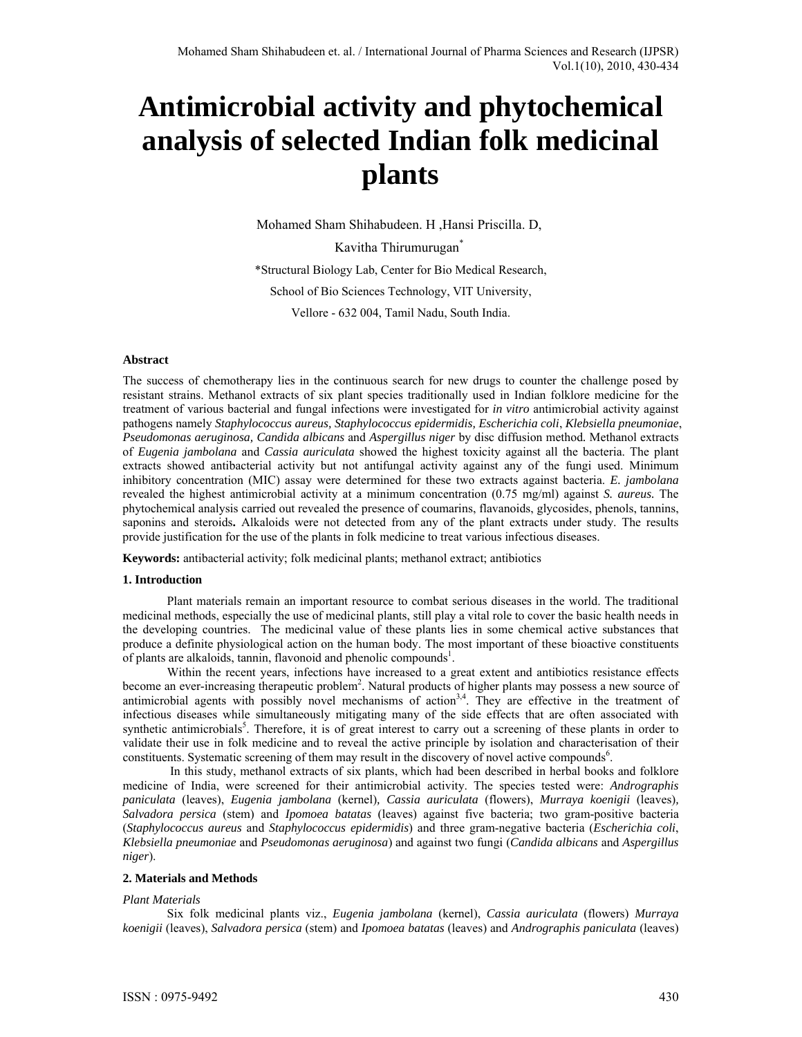# **Antimicrobial activity and phytochemical analysis of selected Indian folk medicinal plants**

Mohamed Sham Shihabudeen. H ,Hansi Priscilla. D, Kavitha Thirumurugan<sup>\*</sup>

\*Structural Biology Lab, Center for Bio Medical Research, School of Bio Sciences Technology, VIT University, Vellore - 632 004, Tamil Nadu, South India.

## **Abstract**

The success of chemotherapy lies in the continuous search for new drugs to counter the challenge posed by resistant strains. Methanol extracts of six plant species traditionally used in Indian folklore medicine for the treatment of various bacterial and fungal infections were investigated for *in vitro* antimicrobial activity against pathogens namely *Staphylococcus aureus, Staphylococcus epidermidis, Escherichia coli*, *Klebsiella pneumoniae*, *Pseudomonas aeruginosa, Candida albicans* and *Aspergillus niger* by disc diffusion method*.* Methanol extracts of *Eugenia jambolana* and *Cassia auriculata* showed the highest toxicity against all the bacteria. The plant extracts showed antibacterial activity but not antifungal activity against any of the fungi used. Minimum inhibitory concentration (MIC) assay were determined for these two extracts against bacteria. *E. jambolana*  revealed the highest antimicrobial activity at a minimum concentration (0.75 mg/ml) against *S. aureus.* The phytochemical analysis carried out revealed the presence of coumarins, flavanoids, glycosides, phenols, tannins, saponins and steroids**.** Alkaloids were not detected from any of the plant extracts under study. The results provide justification for the use of the plants in folk medicine to treat various infectious diseases.

**Keywords:** antibacterial activity; folk medicinal plants; methanol extract; antibiotics

## **1. Introduction**

Plant materials remain an important resource to combat serious diseases in the world. The traditional medicinal methods, especially the use of medicinal plants, still play a vital role to cover the basic health needs in the developing countries. The medicinal value of these plants lies in some chemical active substances that produce a definite physiological action on the human body. The most important of these bioactive constituents of plants are alkaloids, tannin, flavonoid and phenolic compounds<sup>1</sup>.

Within the recent years, infections have increased to a great extent and antibiotics resistance effects become an ever-increasing therapeutic problem<sup>2</sup>. Natural products of higher plants may possess a new source of antimicrobial agents with possibly novel mechanisms of action<sup>3,4</sup>. They are effective in the treatment of infectious diseases while simultaneously mitigating many of the side effects that are often associated with synthetic antimicrobials<sup>5</sup>. Therefore, it is of great interest to carry out a screening of these plants in order to validate their use in folk medicine and to reveal the active principle by isolation and characterisation of their constituents. Systematic screening of them may result in the discovery of novel active compounds<sup>6</sup>.

 In this study, methanol extracts of six plants, which had been described in herbal books and folklore medicine of India, were screened for their antimicrobial activity. The species tested were: *Andrographis paniculata* (leaves), *Eugenia jambolana* (kernel)*, Cassia auriculata* (flowers), *Murraya koenigii* (leaves)*, Salvadora persica* (stem) and *Ipomoea batatas* (leaves) against five bacteria; two gram-positive bacteria (*Staphylococcus aureus* and *Staphylococcus epidermidis*) and three gram-negative bacteria (*Escherichia coli*, *Klebsiella pneumoniae* and *Pseudomonas aeruginosa*) and against two fungi (*Candida albicans* and *Aspergillus niger*).

## **2. Materials and Methods**

## *Plant Materials*

Six folk medicinal plants viz., *Eugenia jambolana* (kernel), *Cassia auriculata* (flowers) *Murraya koenigii* (leaves), *Salvadora persica* (stem) and *Ipomoea batatas* (leaves) and *Andrographis paniculata* (leaves)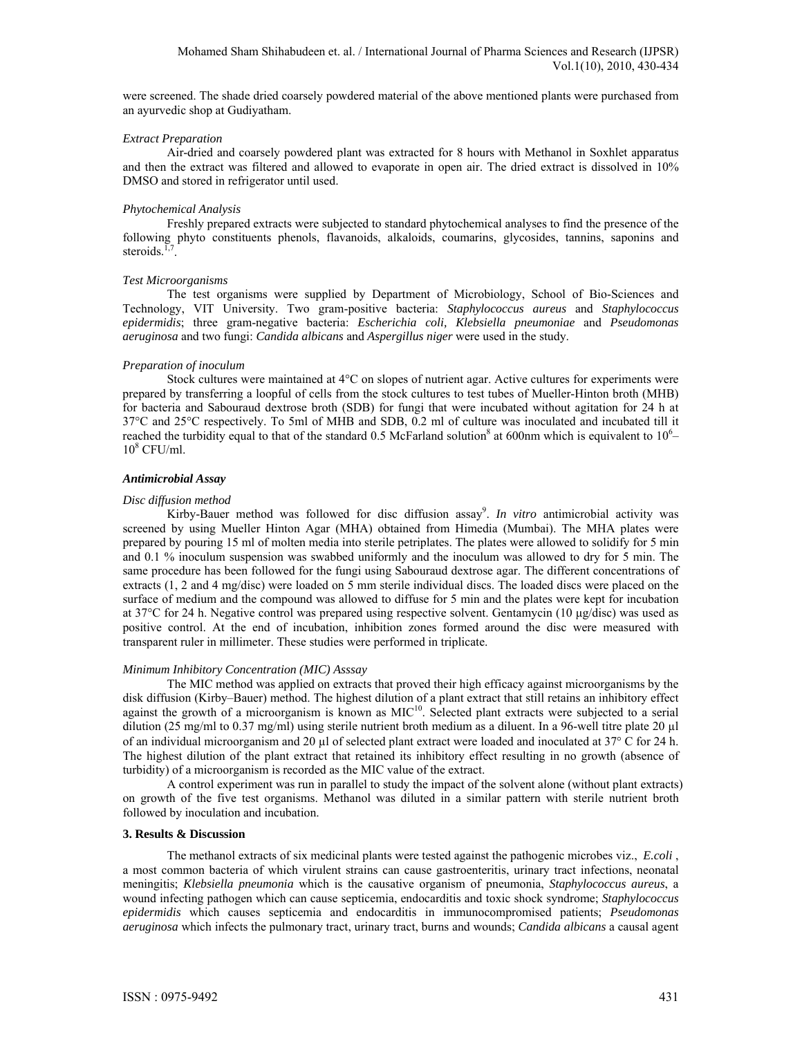were screened. The shade dried coarsely powdered material of the above mentioned plants were purchased from an ayurvedic shop at Gudiyatham.

## *Extract Preparation*

Air-dried and coarsely powdered plant was extracted for 8 hours with Methanol in Soxhlet apparatus and then the extract was filtered and allowed to evaporate in open air. The dried extract is dissolved in 10% DMSO and stored in refrigerator until used.

## *Phytochemical Analysis*

Freshly prepared extracts were subjected to standard phytochemical analyses to find the presence of the following phyto constituents phenols, flavanoids, alkaloids, coumarins, glycosides, tannins, saponins and steroids. $<sup>1</sup>$ </sup>

#### *Test Microorganisms*

The test organisms were supplied by Department of Microbiology, School of Bio-Sciences and Technology, VIT University. Two gram-positive bacteria: *Staphylococcus aureus* and *Staphylococcus epidermidis*; three gram-negative bacteria: *Escherichia coli, Klebsiella pneumoniae* and *Pseudomonas aeruginosa* and two fungi: *Candida albicans* and *Aspergillus niger* were used in the study.

#### *Preparation of inoculum*

Stock cultures were maintained at 4°C on slopes of nutrient agar. Active cultures for experiments were prepared by transferring a loopful of cells from the stock cultures to test tubes of Mueller-Hinton broth (MHB) for bacteria and Sabouraud dextrose broth (SDB) for fungi that were incubated without agitation for 24 h at 37°C and 25°C respectively. To 5ml of MHB and SDB, 0.2 ml of culture was inoculated and incubated till it reached the turbidity equal to that of the standard 0.5 McFarland solution<sup>8</sup> at 600nm which is equivalent to  $10<sup>6</sup>$  $10^8$  CFU/ml.

#### *Antimicrobial Assay*

#### *Disc diffusion method*

Kirby-Bauer method was followed for disc diffusion assay<sup>9</sup>. In vitro antimicrobial activity was screened by using Mueller Hinton Agar (MHA) obtained from Himedia (Mumbai). The MHA plates were prepared by pouring 15 ml of molten media into sterile petriplates. The plates were allowed to solidify for 5 min and 0.1 % inoculum suspension was swabbed uniformly and the inoculum was allowed to dry for 5 min. The same procedure has been followed for the fungi using Sabouraud dextrose agar. The different concentrations of extracts (1, 2 and 4 mg/disc) were loaded on 5 mm sterile individual discs. The loaded discs were placed on the surface of medium and the compound was allowed to diffuse for 5 min and the plates were kept for incubation at 37°C for 24 h. Negative control was prepared using respective solvent. Gentamycin (10 μg/disc) was used as positive control. At the end of incubation, inhibition zones formed around the disc were measured with transparent ruler in millimeter. These studies were performed in triplicate.

## *Minimum Inhibitory Concentration (MIC) Asssay*

The MIC method was applied on extracts that proved their high efficacy against microorganisms by the disk diffusion (Kirby–Bauer) method. The highest dilution of a plant extract that still retains an inhibitory effect against the growth of a microorganism is known as MIC<sup>10</sup>. Selected plant extracts were subjected to a serial dilution (25 mg/ml to 0.37 mg/ml) using sterile nutrient broth medium as a diluent. In a 96-well titre plate 20 µl of an individual microorganism and 20  $\mu$ l of selected plant extract were loaded and inoculated at 37° C for 24 h. The highest dilution of the plant extract that retained its inhibitory effect resulting in no growth (absence of turbidity) of a microorganism is recorded as the MIC value of the extract.

A control experiment was run in parallel to study the impact of the solvent alone (without plant extracts) on growth of the five test organisms. Methanol was diluted in a similar pattern with sterile nutrient broth followed by inoculation and incubation.

## **3. Results & Discussion**

The methanol extracts of six medicinal plants were tested against the pathogenic microbes viz., *E.coli* , a most common bacteria of which virulent strains can cause gastroenteritis, urinary tract infections, neonatal meningitis; *Klebsiella pneumonia* which is the causative organism of pneumonia, *Staphylococcus aureus*, a wound infecting pathogen which can cause septicemia, endocarditis and toxic shock syndrome; *Staphylococcus epidermidis* which causes septicemia and endocarditis in immunocompromised patients; *Pseudomonas aeruginosa* which infects the pulmonary tract, urinary tract, burns and wounds; *Candida albicans* a causal agent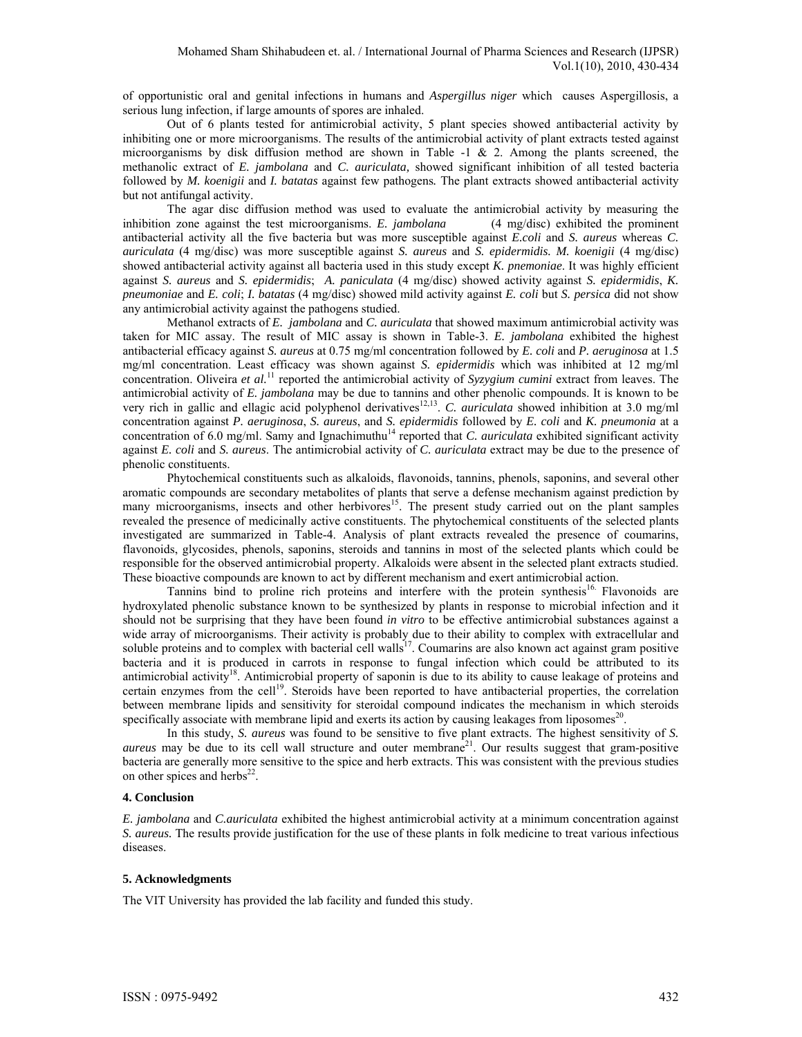of opportunistic oral and genital infections in humans and *Aspergillus niger* which causes Aspergillosis, a serious lung infection, if large amounts of spores are inhaled.

 Out of 6 plants tested for antimicrobial activity, 5 plant species showed antibacterial activity by inhibiting one or more microorganisms. The results of the antimicrobial activity of plant extracts tested against microorganisms by disk diffusion method are shown in Table  $-1 \& 2$ . Among the plants screened, the methanolic extract of *E. jambolana* and *C. auriculata,* showed significant inhibition of all tested bacteria followed by *M. koenigii* and *I. batatas* against few pathogens*.* The plant extracts showed antibacterial activity but not antifungal activity.

The agar disc diffusion method was used to evaluate the antimicrobial activity by measuring the inhibition zone against the test microorganisms. *E. jambolana* (4 mg/disc) exhibited the prominent antibacterial activity all the five bacteria but was more susceptible against *E.coli* and *S. aureus* whereas *C. auriculata* (4 mg/disc) was more susceptible against *S. aureus* and *S. epidermidis. M. koenigii* (4 mg/disc) showed antibacterial activity against all bacteria used in this study except *K. pnemoniae*. It was highly efficient against *S. aureus* and *S. epidermidis*; *A. paniculata* (4 mg/disc) showed activity against *S. epidermidis*, *K. pneumoniae* and *E. coli*; *I. batatas* (4 mg/disc) showed mild activity against *E. coli* but *S. persica* did not show any antimicrobial activity against the pathogens studied.

Methanol extracts of *E. jambolana* and *C. auriculata* that showed maximum antimicrobial activity was taken for MIC assay. The result of MIC assay is shown in Table-3. *E. jambolana* exhibited the highest antibacterial efficacy against *S. aureus* at 0.75 mg/ml concentration followed by *E. coli* and *P. aeruginosa* at 1.5 mg/ml concentration. Least efficacy was shown against *S. epidermidis* which was inhibited at 12 mg/ml concentration. Oliveira et al.<sup>11</sup> reported the antimicrobial activity of *Syzygium cumini* extract from leaves. The antimicrobial activity of *E. jambolana* may be due to tannins and other phenolic compounds. It is known to be very rich in gallic and ellagic acid polyphenol derivatives<sup>12,13</sup>. *C. auriculata* showed inhibition at 3.0 mg/ml concentration against *P. aeruginosa*, *S. aureus*, and *S. epidermidis* followed by *E. coli* and *K. pneumonia* at a concentration of 6.0 mg/ml. Samy and Ignachimuthu<sup>14</sup> reported that *C. auriculata* exhibited significant activity against *E. coli* and *S. aureus*. The antimicrobial activity of *C. auriculata* extract may be due to the presence of phenolic constituents.

Phytochemical constituents such as alkaloids, flavonoids, tannins, phenols, saponins, and several other aromatic compounds are secondary metabolites of plants that serve a defense mechanism against prediction by many microorganisms, insects and other herbivores<sup>15</sup>. The present study carried out on the plant samples revealed the presence of medicinally active constituents. The phytochemical constituents of the selected plants investigated are summarized in Table-4. Analysis of plant extracts revealed the presence of coumarins, flavonoids, glycosides, phenols, saponins, steroids and tannins in most of the selected plants which could be responsible for the observed antimicrobial property. Alkaloids were absent in the selected plant extracts studied. These bioactive compounds are known to act by different mechanism and exert antimicrobial action.

Tannins bind to proline rich proteins and interfere with the protein synthesis<sup>16.</sup> Flavonoids are hydroxylated phenolic substance known to be synthesized by plants in response to microbial infection and it should not be surprising that they have been found *in vitro* to be effective antimicrobial substances against a wide array of microorganisms. Their activity is probably due to their ability to complex with extracellular and soluble proteins and to complex with bacterial cell walls<sup>17</sup>. Coumarins are also known act against gram positive bacteria and it is produced in carrots in response to fungal infection which could be attributed to its antimicrobial activity<sup>18</sup>. Antimicrobial property of saponin is due to its ability to cause leakage of proteins and certain enzymes from the cell<sup>19</sup>. Steroids have been reported to have antibacterial properties, the correlation between membrane lipids and sensitivity for steroidal compound indicates the mechanism in which steroids specifically associate with membrane lipid and exerts its action by causing leakages from liposomes<sup>20</sup>.

 In this study, *S. aureus* was found to be sensitive to five plant extracts. The highest sensitivity of *S. aureus* may be due to its cell wall structure and outer membrane<sup>21</sup>. Our results suggest that gram-positive bacteria are generally more sensitive to the spice and herb extracts. This was consistent with the previous studies on other spices and herbs $^{22}$ .

## **4. Conclusion**

*E. jambolana* and *C.auriculata* exhibited the highest antimicrobial activity at a minimum concentration against *S. aureus.* The results provide justification for the use of these plants in folk medicine to treat various infectious diseases.

## **5. Acknowledgments**

The VIT University has provided the lab facility and funded this study.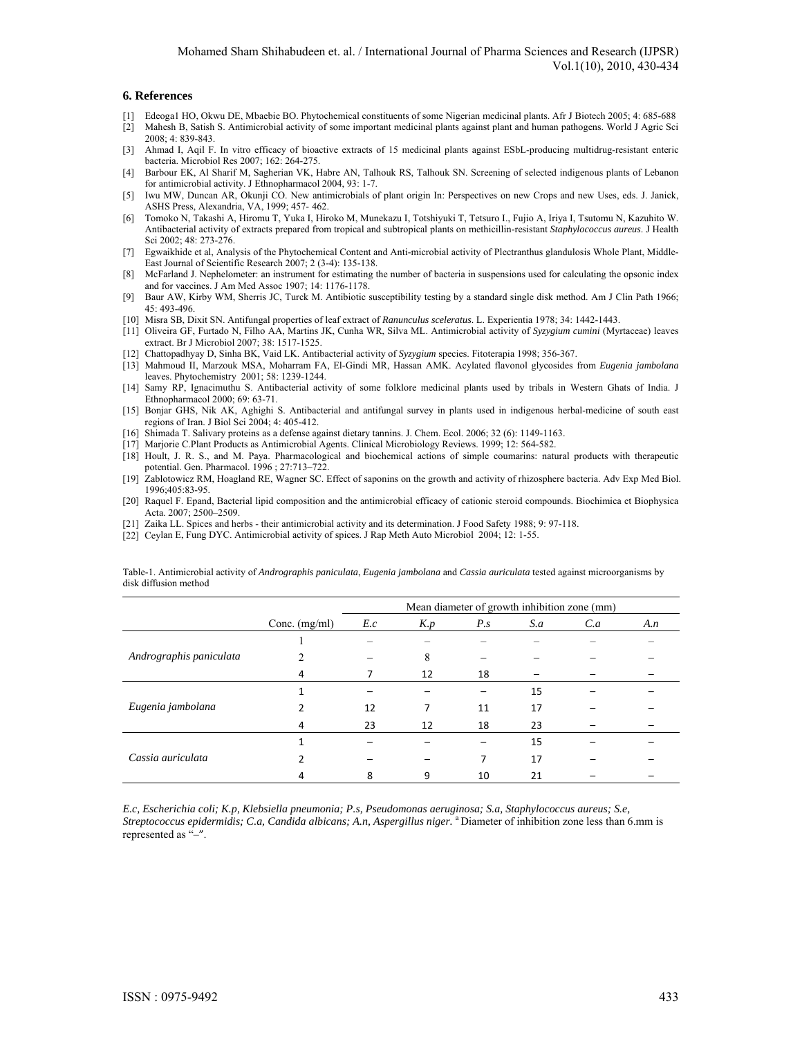#### **6. References**

- [1] Edeoga1 HO, Okwu DE, Mbaebie BO. Phytochemical constituents of some Nigerian medicinal plants. Afr J Biotech 2005; 4: 685-688
- [2] Mahesh B, Satish S. Antimicrobial activity of some important medicinal plants against plant and human pathogens. World J Agric Sci 2008; 4: 839-843.
- [3] Ahmad I, Aqil F. In vitro efficacy of bioactive extracts of 15 medicinal plants against ESbL-producing multidrug-resistant enteric bacteria. Microbiol Res 2007; 162: 264-275.
- [4] Barbour EK, Al Sharif M, Sagherian VK, Habre AN, Talhouk RS, Talhouk SN. Screening of selected indigenous plants of Lebanon for antimicrobial activity. J Ethnopharmacol 2004, 93: 1-7.
- [5] Iwu MW, Duncan AR, Okunji CO. New antimicrobials of plant origin In: Perspectives on new Crops and new Uses, eds. J. Janick, ASHS Press, Alexandria, VA, 1999; 457-462.
- [6] Tomoko N, Takashi A, Hiromu T, Yuka I, Hiroko M, Munekazu I, Totshiyuki T, Tetsuro I., Fujio A, Iriya I, Tsutomu N, Kazuhito W. Antibacterial activity of extracts prepared from tropical and subtropical plants on methicillin-resistant *Staphylococcus aureus*. J Health Sci 2002; 48: 273-276.
- [7] Egwaikhide et al, Analysis of the Phytochemical Content and Anti-microbial activity of Plectranthus glandulosis Whole Plant, Middle-East Journal of Scientific Research 2007; 2 (3-4): 135-138.
- [8] McFarland J. Nephelometer: an instrument for estimating the number of bacteria in suspensions used for calculating the opsonic index and for vaccines. J Am Med Assoc 1907; 14: 1176-1178.
- [9] Baur AW, Kirby WM, Sherris JC, Turck M. Antibiotic susceptibility testing by a standard single disk method. Am J Clin Path 1966; 45: 493-496.
- [10] Misra SB, Dixit SN. Antifungal properties of leaf extract of *Ranunculus sceleratus*. L. Experientia 1978; 34: 1442-1443.
- [11] Oliveira GF, Furtado N, Filho AA, Martins JK, Cunha WR, Silva ML. Antimicrobial activity of *Syzygium cumini* (Myrtaceae) leaves extract. Br J Microbiol 2007; 38: 1517-1525.
- [12] Chattopadhyay D, Sinha BK, Vaid LK. Antibacterial activity of *Syzygium* species. Fitoterapia 1998; 356-367.
- [13] Mahmoud II, Marzouk MSA, Moharram FA, El-Gindi MR, Hassan AMK. Acylated flavonol glycosides from *Eugenia jambolana* leaves. Phytochemistry 2001; 58: 1239-1244.
- [14] Samy RP, Ignacimuthu S. Antibacterial activity of some folklore medicinal plants used by tribals in Western Ghats of India. J Ethnopharmacol 2000; 69: 63-71.
- [15] Bonjar GHS, Nik AK, Aghighi S. Antibacterial and antifungal survey in plants used in indigenous herbal-medicine of south east regions of Iran. J Biol Sci 2004; 4: 405-412.
- [16] Shimada T. Salivary proteins as a defense against dietary tannins. J. Chem. Ecol. 2006; 32 (6): 1149-1163.
- [17] Marjorie C.Plant Products as Antimicrobial Agents. Clinical Microbiology Reviews. 1999; 12: 564-582.
- [18] Hoult, J. R. S., and M. Paya. Pharmacological and biochemical actions of simple coumarins: natural products with therapeutic potential. Gen. Pharmacol. 1996 ; 27:713–722.
- [19] Zablotowicz RM, Hoagland RE, Wagner SC. Effect of saponins on the growth and activity of rhizosphere bacteria. Adv Exp Med Biol. 1996;405:83-95.
- [20] Raquel F. Epand, Bacterial lipid composition and the antimicrobial efficacy of cationic steroid compounds. Biochimica et Biophysica Acta. 2007; 2500–2509.
- [21] Zaika LL. Spices and herbs their antimicrobial activity and its determination. J Food Safety 1988; 9: 97-118.
- [22] Ceylan E, Fung DYC. Antimicrobial activity of spices. J Rap Meth Auto Microbiol 2004; 12: 1-55.

Table-1. Antimicrobial activity of *Andrographis paniculata*, *Eugenia jambolana* and *Cassia auriculata* tested against microorganisms by disk diffusion method

|                         |                 | Mean diameter of growth inhibition zone (mm) |     |               |     |     |     |
|-------------------------|-----------------|----------------------------------------------|-----|---------------|-----|-----|-----|
|                         | Conc. $(mg/ml)$ | E.c                                          | K.p | $P_{\cdot}$ s | S.a | C.a | A.n |
| Andrographis paniculata |                 |                                              |     |               |     |     |     |
|                         | $\mathfrak{D}$  |                                              | 8   |               |     |     |     |
|                         | 4               |                                              | 12  | 18            |     |     |     |
| Eugenia jambolana       |                 |                                              |     |               | 15  |     |     |
|                         |                 | 12                                           | 7   | 11            | 17  |     |     |
|                         | 4               | 23                                           | 12  | 18            | 23  |     |     |
| Cassia auriculata       |                 |                                              |     |               | 15  |     |     |
|                         |                 |                                              |     | 7             | 17  |     |     |
|                         | 4               | 8                                            | 9   | 10            | 21  |     |     |

*E.c, Escherichia coli; K.p, Klebsiella pneumonia; P.s, Pseudomonas aeruginosa; S.a, Staphylococcus aureus; S.e, Streptococcus epidermidis; C.a, Candida albicans; A.n, Aspergillus niger.* a Diameter of inhibition zone less than 6.mm is represented as "–".